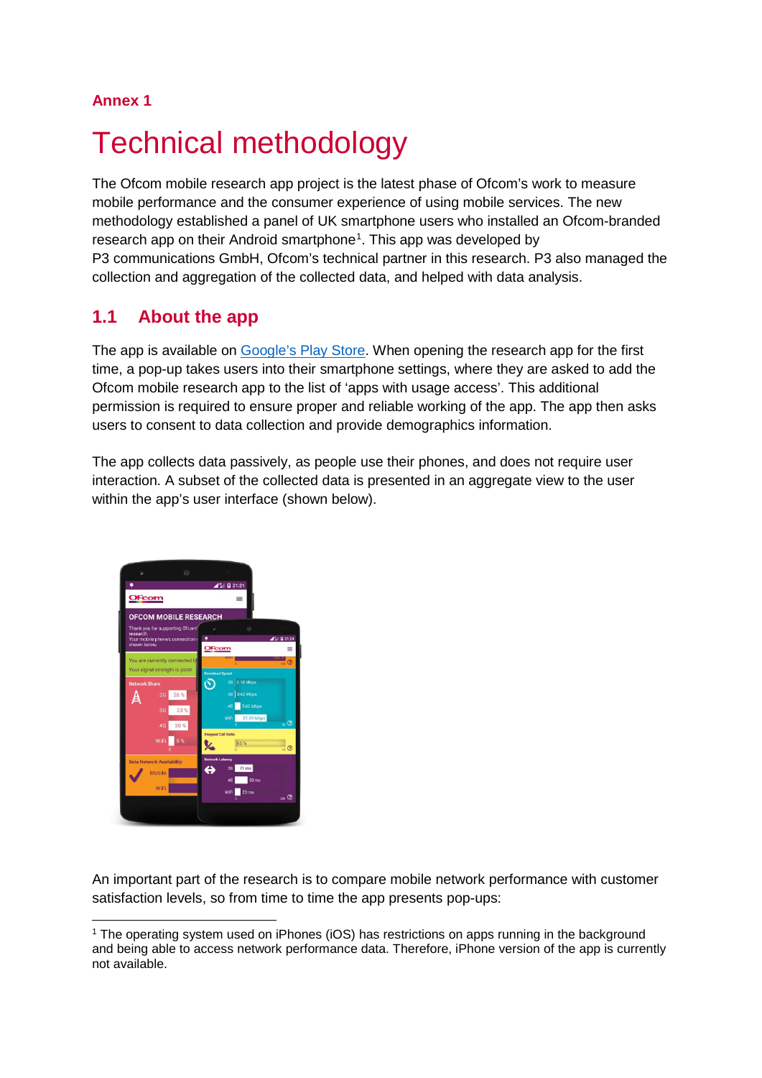#### **Annex 1**

# **Technical methodology**

The Ofcom mobile research app project is the latest phase of Ofcom's work to measure mobile performance and the consumer experience of using mobile services. The new methodology established a panel of UK smartphone users who installed an Ofcom-branded research app on their Android smartphone<sup>[1](#page-0-0)</sup>. This app was developed by P3 communications GmbH, Ofcom's technical partner in this research. P3 also managed the collection and aggregation of the collected data, and helped with data analysis.

## **1.1 About the app**

The app is available on [Google's Play Store.](https://play.google.com/store/apps/details?id=com.p3group.insight.ofcomresearch) When opening the research app for the first time, a pop-up takes users into their smartphone settings, where they are asked to add the Ofcom mobile research app to the list of 'apps with usage access'. This additional permission is required to ensure proper and reliable working of the app. The app then asks users to consent to data collection and provide demographics information.

The app collects data passively, as people use their phones, and does not require user interaction. A subset of the collected data is presented in an aggregate view to the user within the app's user interface (shown below).



An important part of the research is to compare mobile network performance with customer satisfaction levels, so from time to time the app presents pop-ups:

<span id="page-0-0"></span><sup>&</sup>lt;sup>1</sup> The operating system used on iPhones (iOS) has restrictions on apps running in the background and being able to access network performance data. Therefore, iPhone version of the app is currently not available.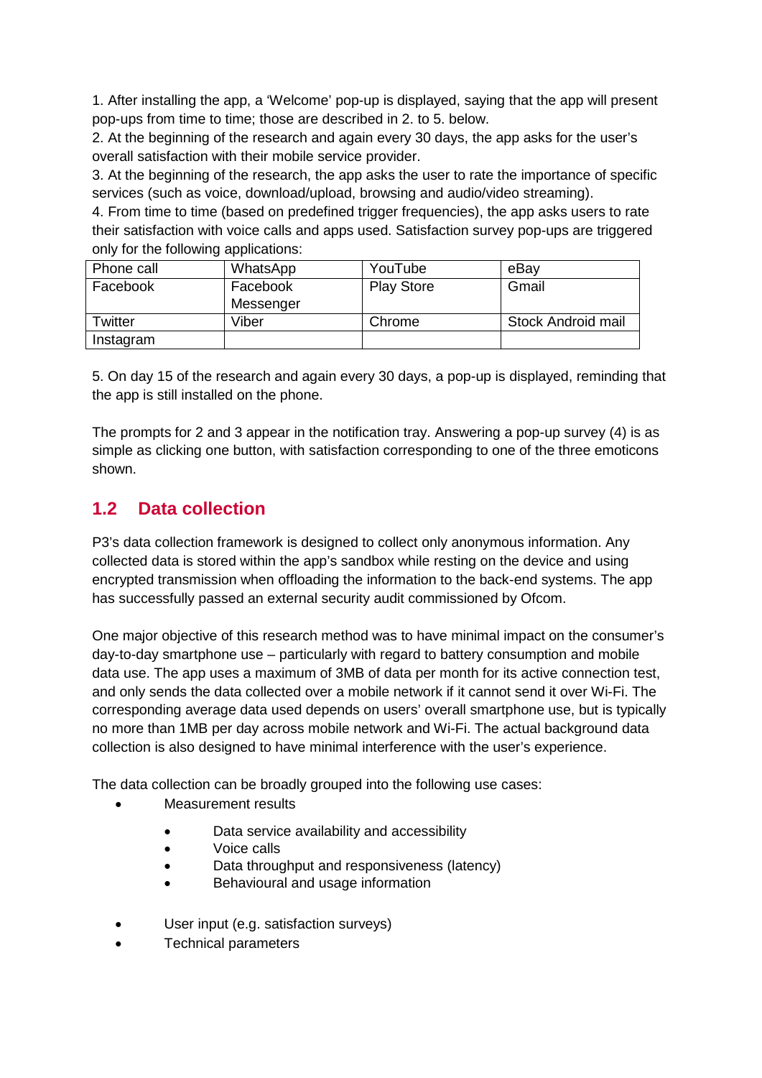1. After installing the app, a 'Welcome' pop-up is displayed, saying that the app will present pop-ups from time to time; those are described in 2. to 5. below.

2. At the beginning of the research and again every 30 days, the app asks for the user's overall satisfaction with their mobile service provider.

3. At the beginning of the research, the app asks the user to rate the importance of specific services (such as voice, download/upload, browsing and audio/video streaming).

4. From time to time (based on predefined trigger frequencies), the app asks users to rate their satisfaction with voice calls and apps used. Satisfaction survey pop-ups are triggered only for the following applications:

| Phone call | WhatsApp  | YouTube           | eBay               |
|------------|-----------|-------------------|--------------------|
| Facebook   | Facebook  | <b>Play Store</b> | Gmail              |
|            | Messenger |                   |                    |
| Twitter    | Viber     | Chrome            | Stock Android mail |
| Instagram  |           |                   |                    |

5. On day 15 of the research and again every 30 days, a pop-up is displayed, reminding that the app is still installed on the phone.

The prompts for 2 and 3 appear in the notification tray. Answering a pop-up survey (4) is as simple as clicking one button, with satisfaction corresponding to one of the three emoticons shown.

## **1.2 Data collection**

P3's data collection framework is designed to collect only anonymous information. Any collected data is stored within the app's sandbox while resting on the device and using encrypted transmission when offloading the information to the back-end systems. The app has successfully passed an external security audit commissioned by Ofcom.

One major objective of this research method was to have minimal impact on the consumer's day-to-day smartphone use – particularly with regard to battery consumption and mobile data use. The app uses a maximum of 3MB of data per month for its active connection test, and only sends the data collected over a mobile network if it cannot send it over Wi-Fi. The corresponding average data used depends on users' overall smartphone use, but is typically no more than 1MB per day across mobile network and Wi-Fi. The actual background data collection is also designed to have minimal interference with the user's experience.

The data collection can be broadly grouped into the following use cases:

- Measurement results
	- Data service availability and accessibility
	- Voice calls
	- Data throughput and responsiveness (latency)
	- Behavioural and usage information
- User input (e.g. satisfaction surveys)
- Technical parameters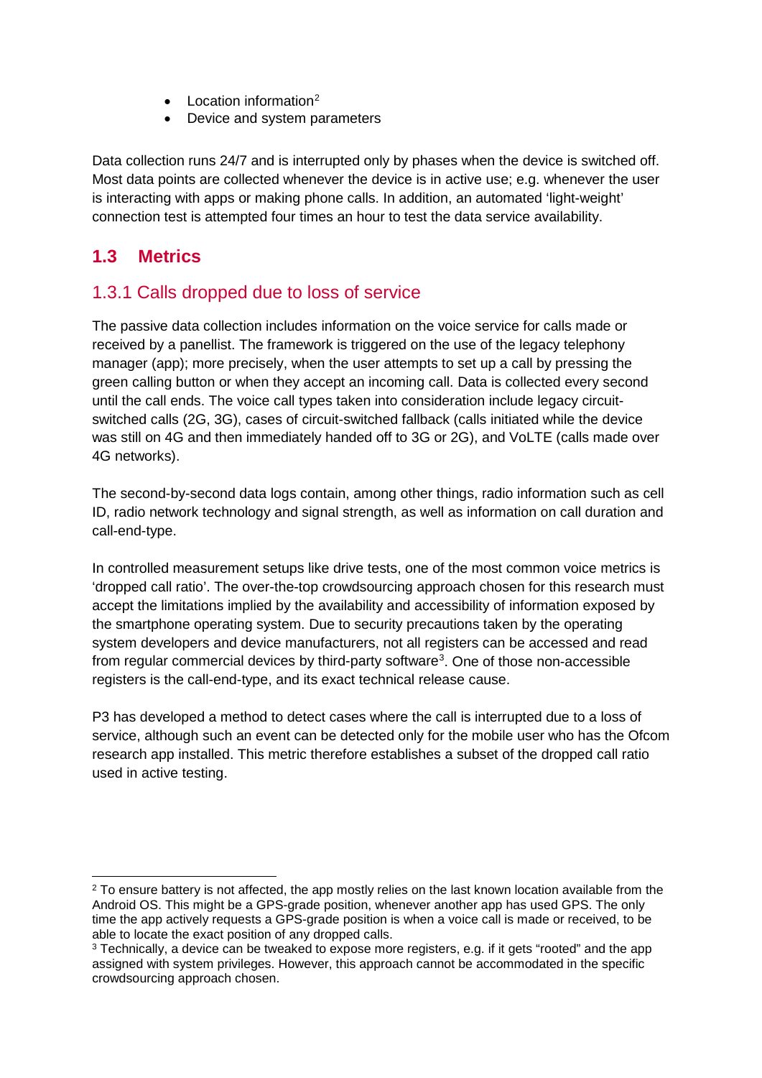- Location information<sup>[2](#page-2-0)</sup>
- Device and system parameters

Data collection runs 24/7 and is interrupted only by phases when the device is switched off. Most data points are collected whenever the device is in active use; e.g. whenever the user is interacting with apps or making phone calls. In addition, an automated 'light-weight' connection test is attempted four times an hour to test the data service availability.

#### **1.3 Metrics**

#### 1.3.1 Calls dropped due to loss of service

The passive data collection includes information on the voice service for calls made or received by a panellist. The framework is triggered on the use of the legacy telephony manager (app); more precisely, when the user attempts to set up a call by pressing the green calling button or when they accept an incoming call. Data is collected every second until the call ends. The voice call types taken into consideration include legacy circuitswitched calls (2G, 3G), cases of circuit-switched fallback (calls initiated while the device was still on 4G and then immediately handed off to 3G or 2G), and VoLTE (calls made over 4G networks).

The second-by-second data logs contain, among other things, radio information such as cell ID, radio network technology and signal strength, as well as information on call duration and call-end-type.

In controlled measurement setups like drive tests, one of the most common voice metrics is 'dropped call ratio'. The over-the-top crowdsourcing approach chosen for this research must accept the limitations implied by the availability and accessibility of information exposed by the smartphone operating system. Due to security precautions taken by the operating system developers and device manufacturers, not all registers can be accessed and read from regular commercial devices by third-party software<sup>[3](#page-2-1)</sup>. One of those non-accessible registers is the call-end-type, and its exact technical release cause.

P3 has developed a method to detect cases where the call is interrupted due to a loss of service, although such an event can be detected only for the mobile user who has the Ofcom research app installed. This metric therefore establishes a subset of the dropped call ratio used in active testing.

<span id="page-2-0"></span><sup>&</sup>lt;sup>2</sup> To ensure battery is not affected, the app mostly relies on the last known location available from the Android OS. This might be a GPS-grade position, whenever another app has used GPS. The only time the app actively requests a GPS-grade position is when a voice call is made or received, to be able to locate the exact position of any dropped calls.

<span id="page-2-1"></span><sup>3</sup> Technically, a device can be tweaked to expose more registers, e.g. if it gets "rooted" and the app assigned with system privileges. However, this approach cannot be accommodated in the specific crowdsourcing approach chosen.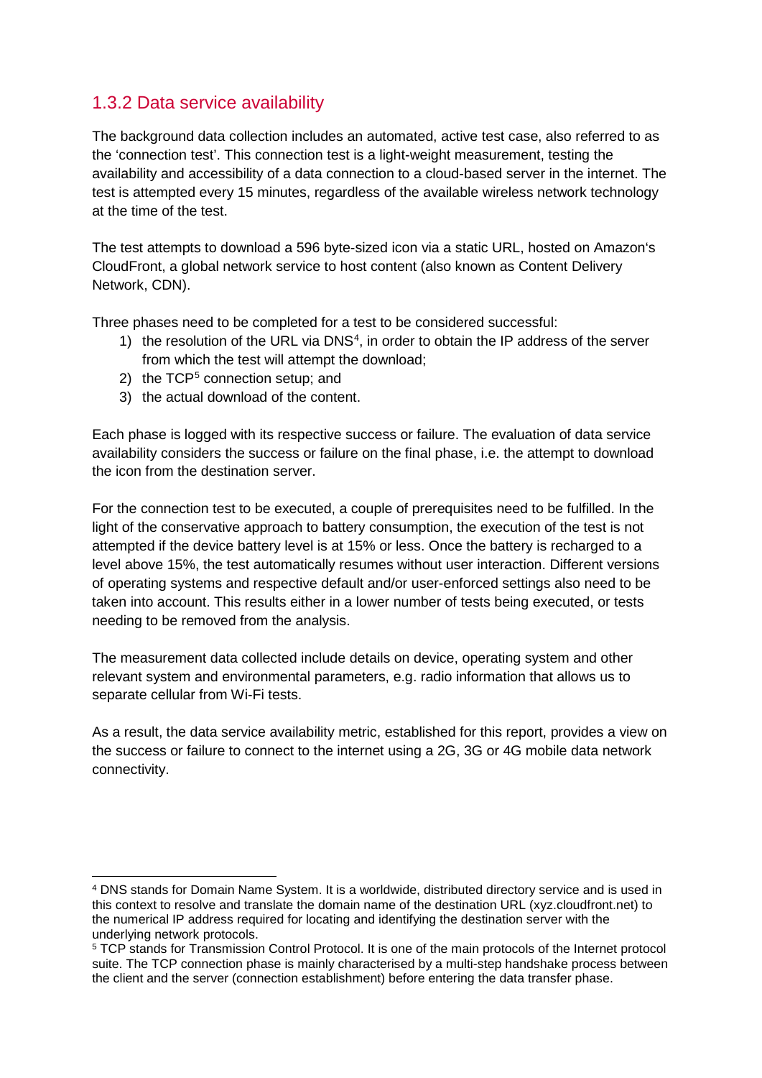### 1.3.2 Data service availability

The background data collection includes an automated, active test case, also referred to as the 'connection test'. This connection test is a light-weight measurement, testing the availability and accessibility of a data connection to a cloud-based server in the internet. The test is attempted every 15 minutes, regardless of the available wireless network technology at the time of the test.

The test attempts to download a 596 byte-sized icon via a static URL, hosted on Amazon's CloudFront, a global network service to host content (also known as Content Delivery Network, CDN).

Three phases need to be completed for a test to be considered successful:

- 1) the resolution of the URL via DNS<sup>[4](#page-3-0)</sup>, in order to obtain the IP address of the server from which the test will attempt the download;
- 2) the  $TCP<sup>5</sup>$  $TCP<sup>5</sup>$  $TCP<sup>5</sup>$  connection setup; and
- 3) the actual download of the content.

Each phase is logged with its respective success or failure. The evaluation of data service availability considers the success or failure on the final phase, i.e. the attempt to download the icon from the destination server.

For the connection test to be executed, a couple of prerequisites need to be fulfilled. In the light of the conservative approach to battery consumption, the execution of the test is not attempted if the device battery level is at 15% or less. Once the battery is recharged to a level above 15%, the test automatically resumes without user interaction. Different versions of operating systems and respective default and/or user-enforced settings also need to be taken into account. This results either in a lower number of tests being executed, or tests needing to be removed from the analysis.

The measurement data collected include details on device, operating system and other relevant system and environmental parameters, e.g. radio information that allows us to separate cellular from Wi-Fi tests.

As a result, the data service availability metric, established for this report, provides a view on the success or failure to connect to the internet using a 2G, 3G or 4G mobile data network connectivity.

<span id="page-3-0"></span> <sup>4</sup> DNS stands for Domain Name System. It is a worldwide, distributed directory service and is used in this context to resolve and translate the domain name of the destination URL (xyz.cloudfront.net) to the numerical IP address required for locating and identifying the destination server with the underlying network protocols.

<span id="page-3-1"></span><sup>5</sup> TCP stands for Transmission Control Protocol. It is one of the main protocols of the Internet protocol suite. The TCP connection phase is mainly characterised by a multi-step handshake process between the client and the server (connection establishment) before entering the data transfer phase.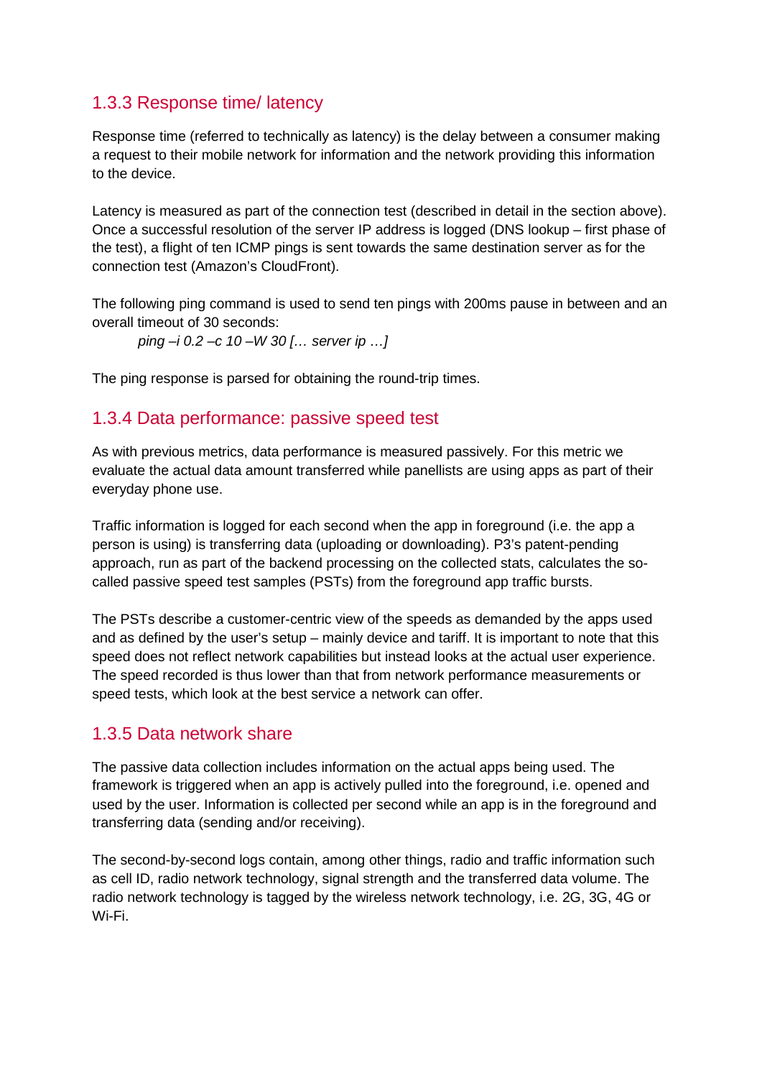### 1.3.3 Response time/ latency

Response time (referred to technically as latency) is the delay between a consumer making a request to their mobile network for information and the network providing this information to the device.

Latency is measured as part of the connection test (described in detail in the section above). Once a successful resolution of the server IP address is logged (DNS lookup – first phase of the test), a flight of ten ICMP pings is sent towards the same destination server as for the connection test (Amazon's CloudFront).

The following ping command is used to send ten pings with 200ms pause in between and an overall timeout of 30 seconds:

*ping –i 0.2 –c 10 –W 30 [… server ip …]*

The ping response is parsed for obtaining the round-trip times.

#### 1.3.4 Data performance: passive speed test

As with previous metrics, data performance is measured passively. For this metric we evaluate the actual data amount transferred while panellists are using apps as part of their everyday phone use.

Traffic information is logged for each second when the app in foreground (i.e. the app a person is using) is transferring data (uploading or downloading). P3's patent-pending approach, run as part of the backend processing on the collected stats, calculates the socalled passive speed test samples (PSTs) from the foreground app traffic bursts.

The PSTs describe a customer-centric view of the speeds as demanded by the apps used and as defined by the user's setup – mainly device and tariff. It is important to note that this speed does not reflect network capabilities but instead looks at the actual user experience. The speed recorded is thus lower than that from network performance measurements or speed tests, which look at the best service a network can offer.

#### 1.3.5 Data network share

The passive data collection includes information on the actual apps being used. The framework is triggered when an app is actively pulled into the foreground, i.e. opened and used by the user. Information is collected per second while an app is in the foreground and transferring data (sending and/or receiving).

The second-by-second logs contain, among other things, radio and traffic information such as cell ID, radio network technology, signal strength and the transferred data volume. The radio network technology is tagged by the wireless network technology, i.e. 2G, 3G, 4G or Wi-Fi.